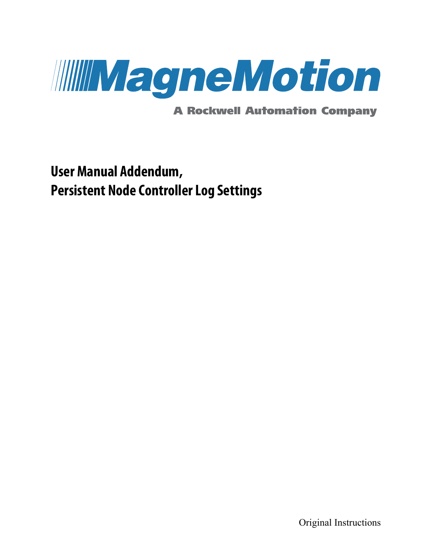

**A Rockwell Automation Company** 

# **User Manual Addendum, Persistent Node Controller Log Settings**

Original Instructions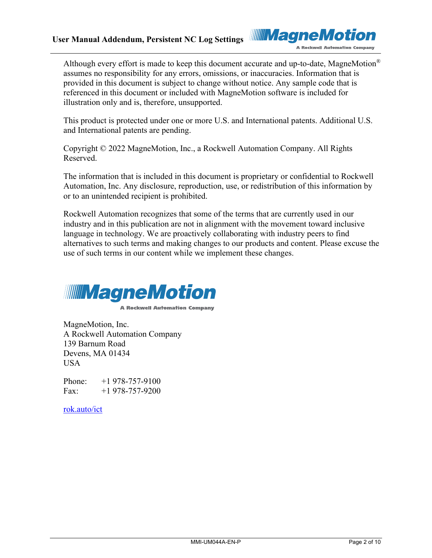

Although every effort is made to keep this document accurate and up-to-date, MagneMotion<sup>®</sup> assumes no responsibility for any errors, omissions, or inaccuracies. Information that is provided in this document is subject to change without notice. Any sample code that is referenced in this document or included with MagneMotion software is included for illustration only and is, therefore, unsupported.

This product is protected under one or more U.S. and International patents. Additional U.S. and International patents are pending.

Copyright © 2022 MagneMotion, Inc., a Rockwell Automation Company. All Rights Reserved.

The information that is included in this document is proprietary or confidential to Rockwell Automation, Inc. Any disclosure, reproduction, use, or redistribution of this information by or to an unintended recipient is prohibited.

Rockwell Automation recognizes that some of the terms that are currently used in our industry and in this publication are not in alignment with the movement toward inclusive language in technology. We are proactively collaborating with industry peers to find alternatives to such terms and making changes to our products and content. Please excuse the use of such terms in our content while we implement these changes.



**A Rockwell Automation Company** 

MagneMotion, Inc. A Rockwell Automation Company 139 Barnum Road Devens, MA 01434 USA

Phone: +1 978-757-9100 Fax:  $+1$  978-757-9200

[rok.auto/ict](https://rok.auto/ict)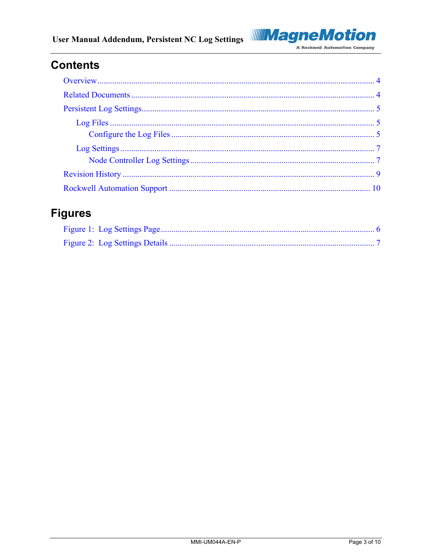#### User Manual Addendum, Persistent NC Log Settings



## **Contents**

## **Figures**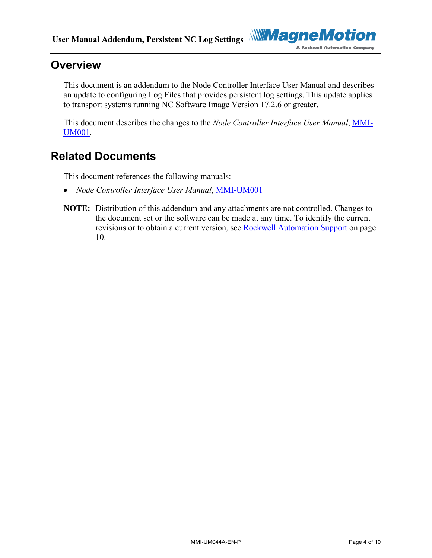

### <span id="page-3-0"></span>**Overview**

This document is an addendum to the Node Controller Interface User Manual and describes an update to configuring Log Files that provides persistent log settings. This update applies to transport systems running NC Software Image Version 17.2.6 or greater.

This document describes the changes to the *Node Controller Interface User Manual*, [MMI-](https://literature.rockwellautomation.com/idc/groups/literature/documents/um/mmi-um001_-en-p.pdf)[UM001.](https://literature.rockwellautomation.com/idc/groups/literature/documents/um/mmi-um001_-en-p.pdf)

### <span id="page-3-1"></span>**Related Documents**

This document references the following manuals:

- *Node Controller Interface User Manual*, [MMI-UM001](https://literature.rockwellautomation.com/idc/groups/literature/documents/um/mmi-um001_-en-p.pdf)
- **NOTE:** Distribution of this addendum and any attachments are not controlled. Changes to the document set or the software can be made at any time. To identify the current revisions or to obtain a current version, see [Rockwell Automation](#page-9-0) Support on page [10.](#page-9-0)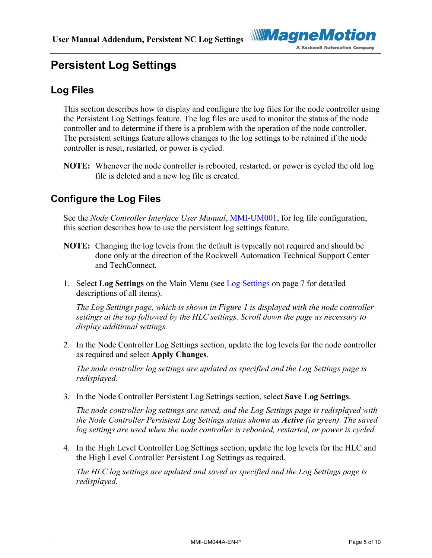

## <span id="page-4-1"></span><span id="page-4-0"></span>**Persistent Log Settings**

#### **Log Files**

This section describes how to display and configure the log files for the node controller using the Persistent Log Settings feature. The log files are used to monitor the status of the node controller and to determine if there is a problem with the operation of the node controller. The persistent settings feature allows changes to the log settings to be retained if the node controller is reset, restarted, or power is cycled.

**NOTE:** Whenever the node controller is rebooted, restarted, or power is cycled the old log file is deleted and a new log file is created.

#### <span id="page-4-2"></span>**Configure the Log Files**

See the *Node Controller Interface User Manual*, [MMI-UM001,](https://literature.rockwellautomation.com/idc/groups/literature/documents/um/mmi-um001_-en-p.pdf) for log file configuration, this section describes how to use the persistent log settings feature.

- **NOTE:** Changing the log levels from the default is typically not required and should be done only at the direction of the Rockwell Automation Technical Support Center and TechConnect.
- 1. Select **Log Settings** on the Main Menu (see [Log Settings](#page-6-0) on page [7](#page-6-0) for detailed descriptions of all items).

*The Log Settings page, which is shown in [Figure 1](#page-5-0) is displayed with the node controller settings at the top followed by the HLC settings. Scroll down the page as necessary to display additional settings.*

2. In the Node Controller Log Settings section, update the log levels for the node controller as required and select **Apply Changes**.

*The node controller log settings are updated as specified and the Log Settings page is redisplayed.*

3. In the Node Controller Persistent Log Settings section, select **Save Log Settings**.

*The node controller log settings are saved, and the Log Settings page is redisplayed with the Node Controller Persistent Log Settings status shown as Active (in green). The saved log settings are used when the node controller is rebooted, restarted, or power is cycled.*

4. In the High Level Controller Log Settings section, update the log levels for the HLC and the High Level Controller Persistent Log Settings as required.

*The HLC log settings are updated and saved as specified and the Log Settings page is redisplayed.*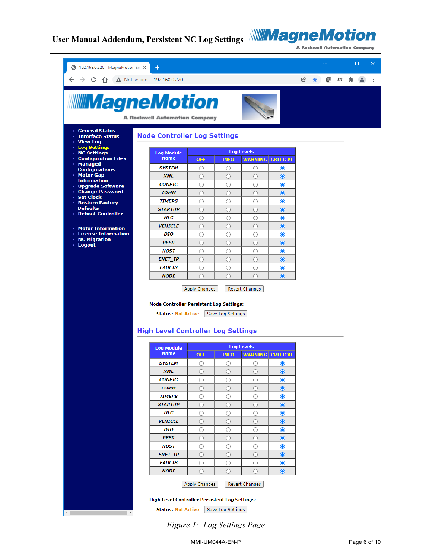

**A Rockwell Automation Company** 

| 192.168.0.220 - MagneMotion En X                     | $\pm$                                                                  |                             |                   |                              |                                                  |                | $\checkmark$ |   | $\Box$ | × |
|------------------------------------------------------|------------------------------------------------------------------------|-----------------------------|-------------------|------------------------------|--------------------------------------------------|----------------|--------------|---|--------|---|
|                                                      | C 1 192.168.0.220                                                      |                             |                   |                              |                                                  | $^{\circledR}$ | œ            | m |        |   |
| <b>IIIIMagneMotion</b>                               | <b>A Rockwell Automation Company</b>                                   |                             |                   |                              |                                                  |                |              |   |        |   |
| • General Status                                     |                                                                        |                             |                   |                              |                                                  |                |              |   |        |   |
| <b>Interface Status</b><br>• View Log                | <b>Node Controller Log Settings</b>                                    |                             |                   |                              |                                                  |                |              |   |        |   |
| • Log Settings<br><b>NC Settings</b>                 | <b>Log Module</b>                                                      |                             |                   | <b>Log Levels</b>            |                                                  |                |              |   |        |   |
| <b>Configuration Files</b><br>$\bullet$<br>· Managed | <b>Name</b>                                                            | <b>OFF</b>                  | <b>INFO</b>       | <b>WARNING</b>               | <b>CRITICAL</b>                                  |                |              |   |        |   |
| <b>Configurations</b>                                | <b>SYSTEM</b>                                                          | О                           | О                 | O                            | $\bullet$                                        |                |              |   |        |   |
| • Motor Gap<br><b>Information</b>                    | <b>XML</b>                                                             | $\bigcirc$                  | $\bigcirc$        | $\bigcirc$                   | $\bullet$                                        |                |              |   |        |   |
| · Upgrade Software                                   | <b>CONFIG</b>                                                          | O                           | O                 | O                            | $\bullet$                                        |                |              |   |        |   |
| • Change Password<br><b>Set Clock</b><br>$\bullet$   | <b>COMM</b>                                                            | $\circ$                     | $\bigcirc$        | $\bigcirc$                   | $\bullet$                                        |                |              |   |        |   |
| <b>Restore Factory</b><br>٠<br><b>Defaults</b>       | <b>TIMERS</b>                                                          | O                           | O                 | O                            | $\bullet$                                        |                |              |   |        |   |
| • Reboot Controller                                  | <b>STARTUP</b><br><b>HLC</b>                                           | $\circ$                     | $\circ$           | $\circ$                      | $\bullet$                                        |                |              |   |        |   |
|                                                      | <b>VEHICLE</b>                                                         | O<br>$\circ$                | O<br>$\circ$      | O<br>O                       | $\bullet$<br>$\bullet$                           |                |              |   |        |   |
| • Motor Information<br><b>License Information</b>    | <b>DIO</b>                                                             | O                           | O                 | O                            | $\bullet$                                        |                |              |   |        |   |
| <b>NC Migration</b><br>٠                             | <b>PEER</b>                                                            | $\circ$                     | $\circ$           | O                            | $\bullet$                                        |                |              |   |        |   |
| · Logout                                             | <b>HOST</b>                                                            | $\circ$                     | O                 | O                            | $\bullet$                                        |                |              |   |        |   |
|                                                      | <b>ENET_IP</b>                                                         | $\bigcirc$                  | $\bigcirc$        | O                            | $\bullet$                                        |                |              |   |        |   |
|                                                      | <b>FAULTS</b>                                                          | $\circ$                     | O                 | $\circ$                      | $\bullet$                                        |                |              |   |        |   |
|                                                      | <b>NODE</b>                                                            |                             |                   |                              |                                                  |                |              |   |        |   |
|                                                      | <b>Node Controller Persistent Log Settings:</b>                        | $\bigcirc$<br>Apply Changes | $\bigcirc$        | $\bigcirc$<br>Revert Changes | $\odot$                                          |                |              |   |        |   |
|                                                      | <b>Status: Not Active</b><br><b>High Level Controller Log Settings</b> |                             | Save Log Settings |                              |                                                  |                |              |   |        |   |
|                                                      |                                                                        |                             |                   | <b>Log Levels</b>            |                                                  |                |              |   |        |   |
|                                                      | <b>Log Module</b><br><b>Name</b>                                       | <b>OFF</b>                  | <b>INFO</b>       | <b>WARNING</b>               | <b>CRITICAL</b>                                  |                |              |   |        |   |
|                                                      | <b>SYSTEM</b>                                                          | O                           | O                 | C                            | $\mathbf{\circ}$                                 |                |              |   |        |   |
|                                                      | <b>XML</b>                                                             | $\circ$                     | $\circ$           | $\circ$                      | $\begin{matrix} \bullet \\ \bullet \end{matrix}$ |                |              |   |        |   |
|                                                      | <b>CONFIG</b>                                                          | O                           | O                 | O                            | $\bullet$                                        |                |              |   |        |   |
|                                                      | <b>COMM</b>                                                            | $\circ$                     | $\circ$           | $\circ$                      | $\bullet$                                        |                |              |   |        |   |
|                                                      | <b>TIMERS</b>                                                          | $\circ$                     | O                 | O                            | $\bullet$                                        |                |              |   |        |   |
|                                                      | <b>STARTUP</b>                                                         | $\circ$                     | $\circ$           | $\circ$                      | $\bullet$                                        |                |              |   |        |   |
|                                                      | <b>HLC</b>                                                             | O                           | О                 | O                            | $\bullet$                                        |                |              |   |        |   |
|                                                      | <b>VEHICLE</b>                                                         | $\bigcirc$                  | О                 | O                            | $\bullet$                                        |                |              |   |        |   |
|                                                      | DIO                                                                    | O                           | О                 | O                            | $\bullet$                                        |                |              |   |        |   |
|                                                      | <b>PEER</b>                                                            | $\circ$                     | О                 | O                            | $\bullet$                                        |                |              |   |        |   |
|                                                      | <b>HOST</b>                                                            | 0                           | О                 | $\circ$                      | $\bullet$                                        |                |              |   |        |   |
|                                                      | <b>ENET_IP</b>                                                         | $\circ$                     | О                 | O                            | $\bullet$                                        |                |              |   |        |   |
|                                                      | <b>FAULTS</b>                                                          | O                           | O                 | O                            | $\bullet$                                        |                |              |   |        |   |
|                                                      | <b>NODE</b>                                                            | $\bigcirc$                  | О                 | O                            | $\bullet$                                        |                |              |   |        |   |
|                                                      |                                                                        | Apply Changes               |                   | Revert Changes               |                                                  |                |              |   |        |   |
|                                                      | <b>High Level Controller Persistent Log Settings:</b>                  |                             |                   |                              |                                                  |                |              |   |        |   |

<span id="page-5-0"></span>*Figure 1: Log Settings Page*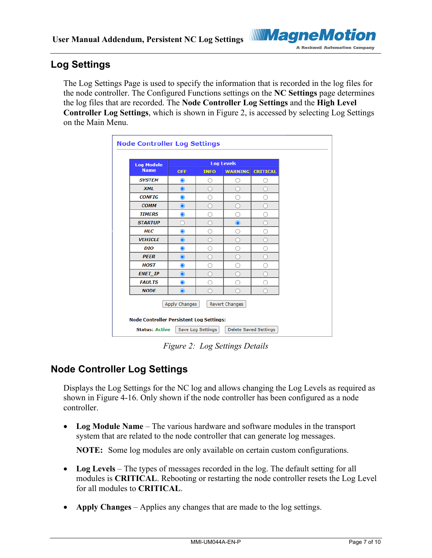

#### <span id="page-6-0"></span>**Log Settings**

The Log Settings Page is used to specify the information that is recorded in the log files for the node controller. The Configured Functions settings on the **NC Settings** page determines the log files that are recorded. The **Node Controller Log Settings** and the **High Level Controller Log Settings**, which is shown in [Figure 2,](#page-6-2) is accessed by selecting Log Settings on the Main Menu.

| <b>Name</b><br><b>SYSTEM</b><br><b>XML</b><br><b>CONFIG</b><br><b>COMM</b><br><b>TIMERS</b> | <b>OFF</b><br>$\bullet$<br>$\bullet$<br>$\bullet$<br>$\bullet$<br>$\bullet$ | <b>INFO</b><br>O<br>O<br>∩<br>O | <b>WARNING</b><br>Ω<br>O<br>∩ | <b>CRITICAL</b><br>∩ |  |  |
|---------------------------------------------------------------------------------------------|-----------------------------------------------------------------------------|---------------------------------|-------------------------------|----------------------|--|--|
|                                                                                             |                                                                             |                                 |                               |                      |  |  |
|                                                                                             |                                                                             |                                 |                               |                      |  |  |
|                                                                                             |                                                                             |                                 |                               |                      |  |  |
|                                                                                             |                                                                             |                                 |                               | Ω                    |  |  |
|                                                                                             |                                                                             |                                 | С                             | n                    |  |  |
|                                                                                             |                                                                             | ∩                               |                               |                      |  |  |
| <b>STARTUP</b>                                                                              | ∩                                                                           | Õ                               | $\bullet$                     | n                    |  |  |
| <b>HLC</b>                                                                                  | $\bullet$                                                                   | C                               | O                             | O                    |  |  |
| <b>VEHICLE</b>                                                                              | $\odot$                                                                     | n                               | n                             | ∩                    |  |  |
| <b>DIO</b>                                                                                  | $\bullet$                                                                   | ∩                               | ()                            | ∩                    |  |  |
| <b>PEER</b>                                                                                 | $\bullet$                                                                   | n                               | С                             | n                    |  |  |
| <b>HOST</b>                                                                                 | $\bullet$                                                                   | ∩                               |                               | O                    |  |  |
| <b>ENET IP</b>                                                                              | $\odot$                                                                     | n                               |                               | n                    |  |  |
| <b>FAULTS</b>                                                                               | $\bullet$                                                                   | ∩                               | ∩                             | ∩                    |  |  |
| <b>NODE</b>                                                                                 | $\bullet$                                                                   | Γ                               |                               | ∩                    |  |  |
| Apply Changes<br>Revert Changes<br><b>Node Controller Persistent Log Settings:</b>          |                                                                             |                                 |                               |                      |  |  |

*Figure 2: Log Settings Details*

#### <span id="page-6-2"></span><span id="page-6-1"></span>**Node Controller Log Settings**

Displays the Log Settings for the NC log and allows changing the Log Levels as required as shown in Figure 4-16. Only shown if the node controller has been configured as a node controller.

• **Log Module Name** – The various hardware and software modules in the transport system that are related to the node controller that can generate log messages.

**NOTE:** Some log modules are only available on certain custom configurations.

- **Log Levels** The types of messages recorded in the log. The default setting for all modules is **CRITICAL**. Rebooting or restarting the node controller resets the Log Level for all modules to **CRITICAL**.
- **Apply Changes** Applies any changes that are made to the log settings.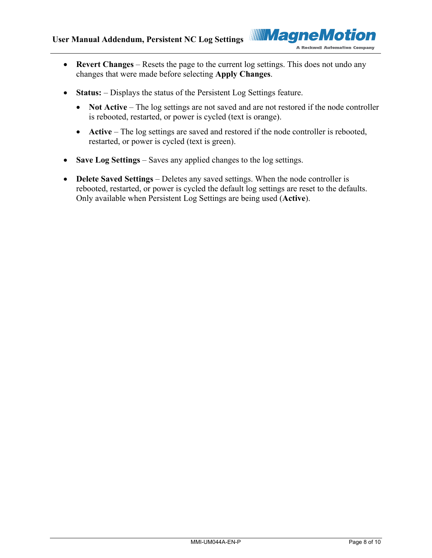

- **Revert Changes** Resets the page to the current log settings. This does not undo any changes that were made before selecting **Apply Changes**.
- **Status:** Displays the status of the Persistent Log Settings feature.
	- **Not Active** The log settings are not saved and are not restored if the node controller is rebooted, restarted, or power is cycled (text is orange).
	- **Active** The log settings are saved and restored if the node controller is rebooted, restarted, or power is cycled (text is green).
- **Save Log Settings** Saves any applied changes to the log settings.
- **Delete Saved Settings** Deletes any saved settings. When the node controller is rebooted, restarted, or power is cycled the default log settings are reset to the defaults. Only available when Persistent Log Settings are being used (**Active**).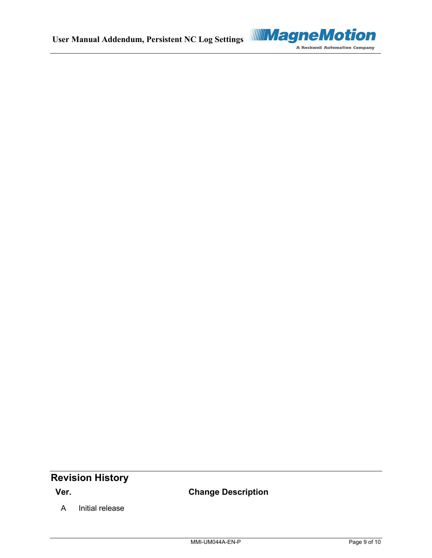

### <span id="page-8-0"></span>**Revision History**

**Ver. Change Description**

A Initial release